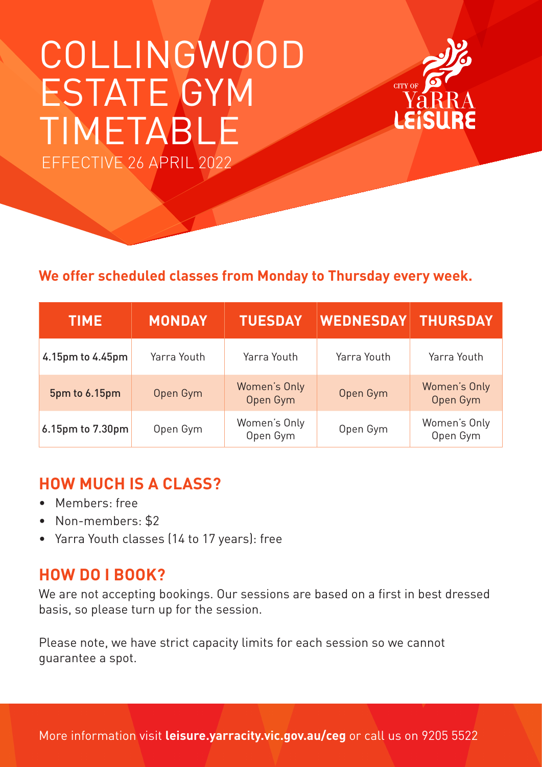# COLLINGWOOD ESTATE GYM TIMETABLE EFFECTIVE 26 APRIL 2022



**CITY OF** 

Vá l

| <b>TIME</b>      | <b>MONDAY</b> | <b>TUESDAY</b>           | <b>WEDNESDAY</b> | <b>THURSDAY</b>          |
|------------------|---------------|--------------------------|------------------|--------------------------|
| 4.15pm to 4.45pm | Yarra Youth   | Yarra Youth              | Yarra Youth      | Yarra Youth              |
| 5pm to 6.15pm    | Open Gym      | Women's Only<br>Open Gym | Open Gym         | Women's Only<br>Open Gym |
| 6.15pm to 7.30pm | Open Gym      | Women's Only<br>Open Gym | Open Gym         | Women's Only<br>Open Gym |

## **HOW MUCH IS A CLASS?**

- Members: free
- Non-members: \$2
- Yarra Youth classes (14 to 17 years): free

## **HOW DO I BOOK?**

We are not accepting bookings. Our sessions are based on a first in best dressed basis, so please turn up for the session.

Please note, we have strict capacity limits for each session so we cannot guarantee a spot.

More information visit **leisure.yarracity.vic.gov.au/ceg** or call us on 9205 5522